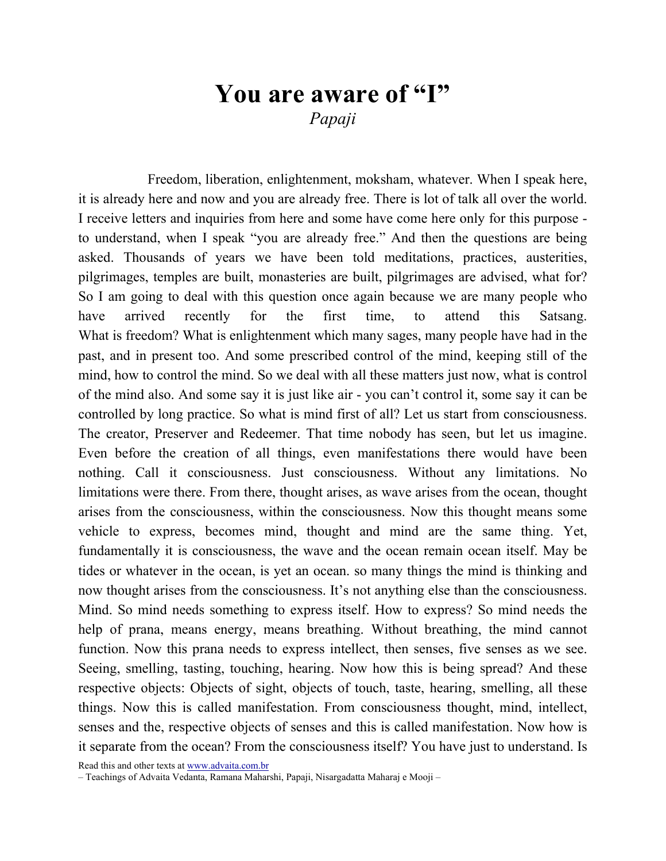## You are aware of "I" Papaji

Freedom, liberation, enlightenment, moksham, whatever. When I speak here, it is already here and now and you are already free. There is lot of talk all over the world. I receive letters and inquiries from here and some have come here only for this purpose to understand, when I speak "you are already free." And then the questions are being asked. Thousands of years we have been told meditations, practices, austerities, pilgrimages, temples are built, monasteries are built, pilgrimages are advised, what for? So I am going to deal with this question once again because we are many people who have arrived recently for the first time, to attend this Satsang. What is freedom? What is enlightenment which many sages, many people have had in the past, and in present too. And some prescribed control of the mind, keeping still of the mind, how to control the mind. So we deal with all these matters just now, what is control of the mind also. And some say it is just like air - you can't control it, some say it can be controlled by long practice. So what is mind first of all? Let us start from consciousness. The creator, Preserver and Redeemer. That time nobody has seen, but let us imagine. Even before the creation of all things, even manifestations there would have been nothing. Call it consciousness. Just consciousness. Without any limitations. No limitations were there. From there, thought arises, as wave arises from the ocean, thought arises from the consciousness, within the consciousness. Now this thought means some vehicle to express, becomes mind, thought and mind are the same thing. Yet, fundamentally it is consciousness, the wave and the ocean remain ocean itself. May be tides or whatever in the ocean, is yet an ocean. so many things the mind is thinking and now thought arises from the consciousness. It's not anything else than the consciousness. Mind. So mind needs something to express itself. How to express? So mind needs the help of prana, means energy, means breathing. Without breathing, the mind cannot function. Now this prana needs to express intellect, then senses, five senses as we see. Seeing, smelling, tasting, touching, hearing. Now how this is being spread? And these respective objects: Objects of sight, objects of touch, taste, hearing, smelling, all these things. Now this is called manifestation. From consciousness thought, mind, intellect, senses and the, respective objects of senses and this is called manifestation. Now how is it separate from the ocean? From the consciousness itself? You have just to understand. Is

<sup>–</sup> Teachings of Advaita Vedanta, Ramana Maharshi, Papaji, Nisargadatta Maharaj e Mooji –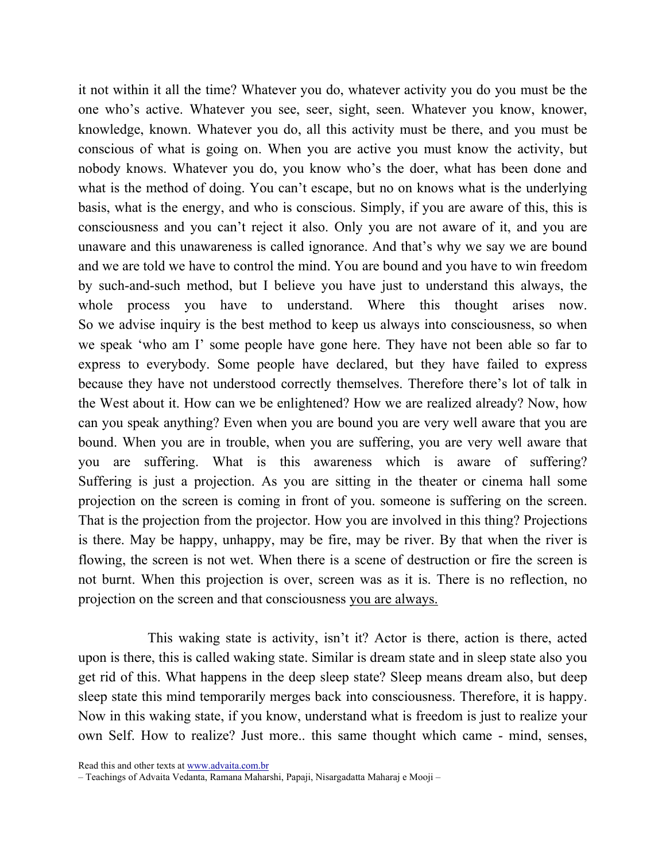it not within it all the time? Whatever you do, whatever activity you do you must be the one who's active. Whatever you see, seer, sight, seen. Whatever you know, knower, knowledge, known. Whatever you do, all this activity must be there, and you must be conscious of what is going on. When you are active you must know the activity, but nobody knows. Whatever you do, you know who's the doer, what has been done and what is the method of doing. You can't escape, but no on knows what is the underlying basis, what is the energy, and who is conscious. Simply, if you are aware of this, this is consciousness and you can't reject it also. Only you are not aware of it, and you are unaware and this unawareness is called ignorance. And that's why we say we are bound and we are told we have to control the mind. You are bound and you have to win freedom by such-and-such method, but I believe you have just to understand this always, the whole process you have to understand. Where this thought arises now. So we advise inquiry is the best method to keep us always into consciousness, so when we speak 'who am I' some people have gone here. They have not been able so far to express to everybody. Some people have declared, but they have failed to express because they have not understood correctly themselves. Therefore there's lot of talk in the West about it. How can we be enlightened? How we are realized already? Now, how can you speak anything? Even when you are bound you are very well aware that you are bound. When you are in trouble, when you are suffering, you are very well aware that you are suffering. What is this awareness which is aware of suffering? Suffering is just a projection. As you are sitting in the theater or cinema hall some projection on the screen is coming in front of you. someone is suffering on the screen. That is the projection from the projector. How you are involved in this thing? Projections is there. May be happy, unhappy, may be fire, may be river. By that when the river is flowing, the screen is not wet. When there is a scene of destruction or fire the screen is not burnt. When this projection is over, screen was as it is. There is no reflection, no projection on the screen and that consciousness you are always.

This waking state is activity, isn't it? Actor is there, action is there, acted upon is there, this is called waking state. Similar is dream state and in sleep state also you get rid of this. What happens in the deep sleep state? Sleep means dream also, but deep sleep state this mind temporarily merges back into consciousness. Therefore, it is happy. Now in this waking state, if you know, understand what is freedom is just to realize your own Self. How to realize? Just more.. this same thought which came - mind, senses,

Read this and other texts at www.advaita.com.br

<sup>–</sup> Teachings of Advaita Vedanta, Ramana Maharshi, Papaji, Nisargadatta Maharaj e Mooji –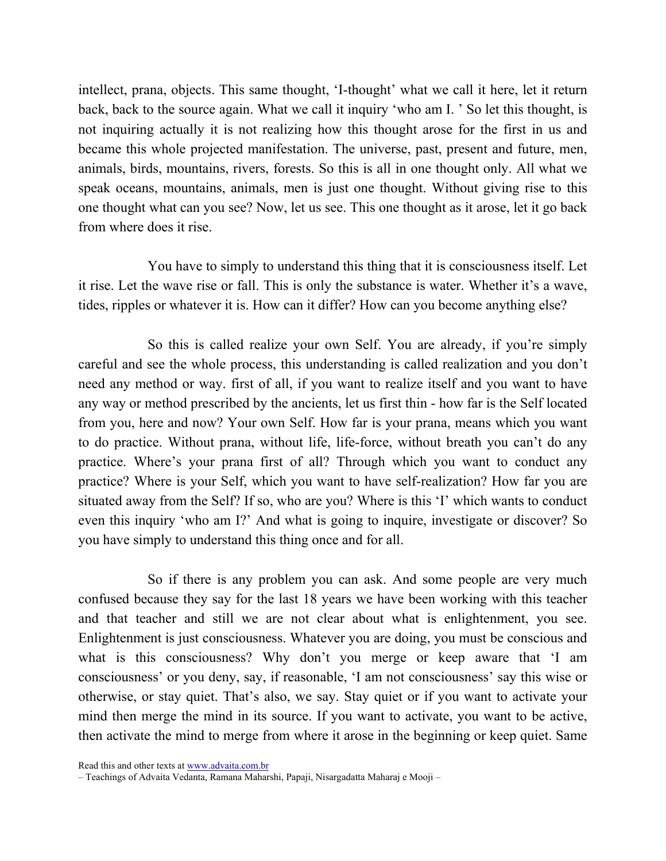intellect, prana, objects. This same thought, 'I-thought' what we call it here, let it return back, back to the source again. What we call it inquiry 'who am I. ' So let this thought, is not inquiring actually it is not realizing how this thought arose for the first in us and became this whole projected manifestation. The universe, past, present and future, men, animals, birds, mountains, rivers, forests. So this is all in one thought only. All what we speak oceans, mountains, animals, men is just one thought. Without giving rise to this one thought what can you see? Now, let us see. This one thought as it arose, let it go back from where does it rise.

You have to simply to understand this thing that it is consciousness itself. Let it rise. Let the wave rise or fall. This is only the substance is water. Whether it's a wave, tides, ripples or whatever it is. How can it differ? How can you become anything else?

So this is called realize your own Self. You are already, if you're simply careful and see the whole process, this understanding is called realization and you don't need any method or way. first of all, if you want to realize itself and you want to have any way or method prescribed by the ancients, let us first thin - how far is the Self located from you, here and now? Your own Self. How far is your prana, means which you want to do practice. Without prana, without life, life-force, without breath you can't do any practice. Where's your prana first of all? Through which you want to conduct any practice? Where is your Self, which you want to have self-realization? How far you are situated away from the Self? If so, who are you? Where is this 'I' which wants to conduct even this inquiry 'who am I?' And what is going to inquire, investigate or discover? So you have simply to understand this thing once and for all.

So if there is any problem you can ask. And some people are very much confused because they say for the last 18 years we have been working with this teacher and that teacher and still we are not clear about what is enlightenment, you see. Enlightenment is just consciousness. Whatever you are doing, you must be conscious and what is this consciousness? Why don't you merge or keep aware that 'I am consciousness' or you deny, say, if reasonable, 'I am not consciousness' say this wise or otherwise, or stay quiet. That's also, we say. Stay quiet or if you want to activate your mind then merge the mind in its source. If you want to activate, you want to be active, then activate the mind to merge from where it arose in the beginning or keep quiet. Same

Read this and other texts at www.advaita.com.br

<sup>–</sup> Teachings of Advaita Vedanta, Ramana Maharshi, Papaji, Nisargadatta Maharaj e Mooji –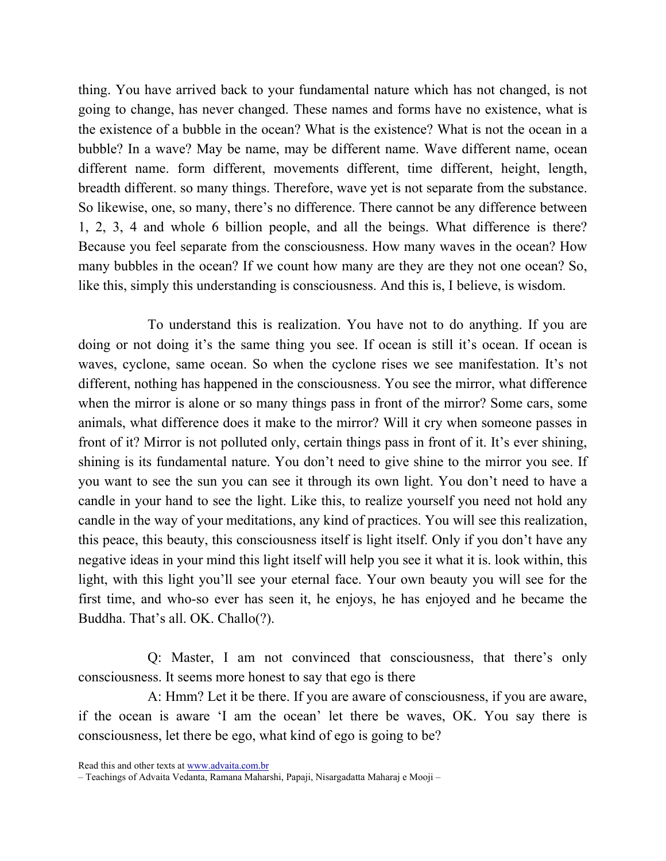thing. You have arrived back to your fundamental nature which has not changed, is not going to change, has never changed. These names and forms have no existence, what is the existence of a bubble in the ocean? What is the existence? What is not the ocean in a bubble? In a wave? May be name, may be different name. Wave different name, ocean different name. form different, movements different, time different, height, length, breadth different. so many things. Therefore, wave yet is not separate from the substance. So likewise, one, so many, there's no difference. There cannot be any difference between 1, 2, 3, 4 and whole 6 billion people, and all the beings. What difference is there? Because you feel separate from the consciousness. How many waves in the ocean? How many bubbles in the ocean? If we count how many are they are they not one ocean? So, like this, simply this understanding is consciousness. And this is, I believe, is wisdom.

To understand this is realization. You have not to do anything. If you are doing or not doing it's the same thing you see. If ocean is still it's ocean. If ocean is waves, cyclone, same ocean. So when the cyclone rises we see manifestation. It's not different, nothing has happened in the consciousness. You see the mirror, what difference when the mirror is alone or so many things pass in front of the mirror? Some cars, some animals, what difference does it make to the mirror? Will it cry when someone passes in front of it? Mirror is not polluted only, certain things pass in front of it. It's ever shining, shining is its fundamental nature. You don't need to give shine to the mirror you see. If you want to see the sun you can see it through its own light. You don't need to have a candle in your hand to see the light. Like this, to realize yourself you need not hold any candle in the way of your meditations, any kind of practices. You will see this realization, this peace, this beauty, this consciousness itself is light itself. Only if you don't have any negative ideas in your mind this light itself will help you see it what it is. look within, this light, with this light you'll see your eternal face. Your own beauty you will see for the first time, and who-so ever has seen it, he enjoys, he has enjoyed and he became the Buddha. That's all. OK. Challo(?).

Q: Master, I am not convinced that consciousness, that there's only consciousness. It seems more honest to say that ego is there

A: Hmm? Let it be there. If you are aware of consciousness, if you are aware, if the ocean is aware 'I am the ocean' let there be waves, OK. You say there is consciousness, let there be ego, what kind of ego is going to be?

<sup>–</sup> Teachings of Advaita Vedanta, Ramana Maharshi, Papaji, Nisargadatta Maharaj e Mooji –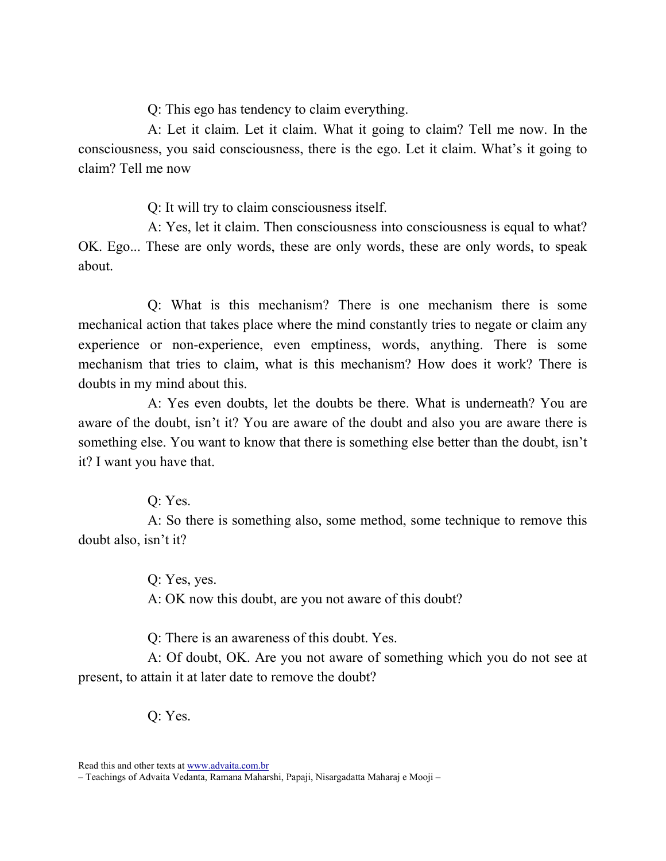Q: This ego has tendency to claim everything.

A: Let it claim. Let it claim. What it going to claim? Tell me now. In the consciousness, you said consciousness, there is the ego. Let it claim. What's it going to claim? Tell me now

Q: It will try to claim consciousness itself.

A: Yes, let it claim. Then consciousness into consciousness is equal to what? OK. Ego... These are only words, these are only words, these are only words, to speak about.

Q: What is this mechanism? There is one mechanism there is some mechanical action that takes place where the mind constantly tries to negate or claim any experience or non-experience, even emptiness, words, anything. There is some mechanism that tries to claim, what is this mechanism? How does it work? There is doubts in my mind about this.

A: Yes even doubts, let the doubts be there. What is underneath? You are aware of the doubt, isn't it? You are aware of the doubt and also you are aware there is something else. You want to know that there is something else better than the doubt, isn't it? I want you have that.

Q: Yes.

A: So there is something also, some method, some technique to remove this doubt also, isn't it?

> Q: Yes, yes. A: OK now this doubt, are you not aware of this doubt?

Q: There is an awareness of this doubt. Yes.

A: Of doubt, OK. Are you not aware of something which you do not see at present, to attain it at later date to remove the doubt?

Q: Yes.

<sup>–</sup> Teachings of Advaita Vedanta, Ramana Maharshi, Papaji, Nisargadatta Maharaj e Mooji –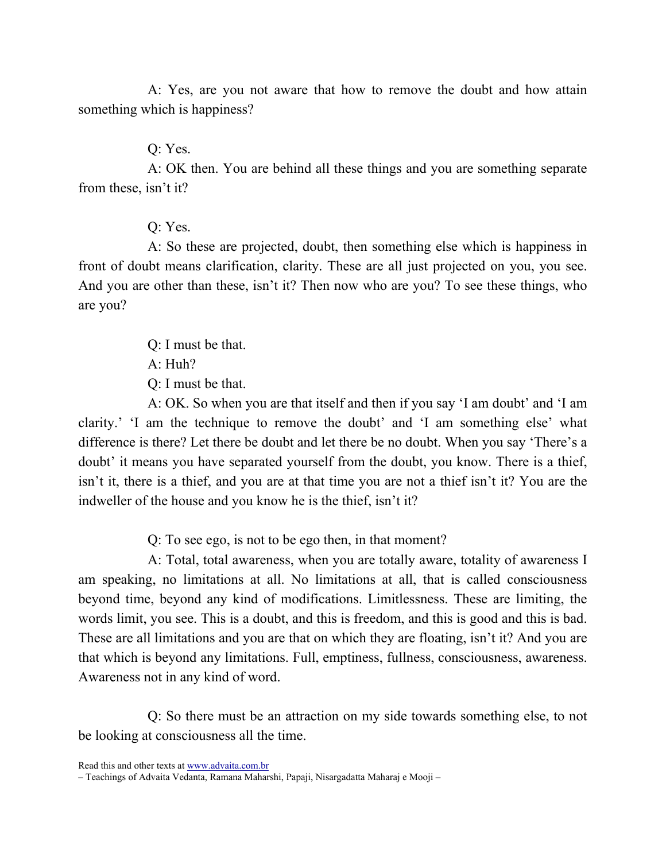A: Yes, are you not aware that how to remove the doubt and how attain something which is happiness?

Q: Yes.

A: OK then. You are behind all these things and you are something separate from these, isn't it?

Q: Yes.

A: So these are projected, doubt, then something else which is happiness in front of doubt means clarification, clarity. These are all just projected on you, you see. And you are other than these, isn't it? Then now who are you? To see these things, who are you?

Q: I must be that.

A: Huh?

Q: I must be that.

A: OK. So when you are that itself and then if you say 'I am doubt' and 'I am clarity.' 'I am the technique to remove the doubt' and 'I am something else' what difference is there? Let there be doubt and let there be no doubt. When you say 'There's a doubt' it means you have separated yourself from the doubt, you know. There is a thief, isn't it, there is a thief, and you are at that time you are not a thief isn't it? You are the indweller of the house and you know he is the thief, isn't it?

Q: To see ego, is not to be ego then, in that moment?

A: Total, total awareness, when you are totally aware, totality of awareness I am speaking, no limitations at all. No limitations at all, that is called consciousness beyond time, beyond any kind of modifications. Limitlessness. These are limiting, the words limit, you see. This is a doubt, and this is freedom, and this is good and this is bad. These are all limitations and you are that on which they are floating, isn't it? And you are that which is beyond any limitations. Full, emptiness, fullness, consciousness, awareness. Awareness not in any kind of word.

Q: So there must be an attraction on my side towards something else, to not be looking at consciousness all the time.

<sup>–</sup> Teachings of Advaita Vedanta, Ramana Maharshi, Papaji, Nisargadatta Maharaj e Mooji –